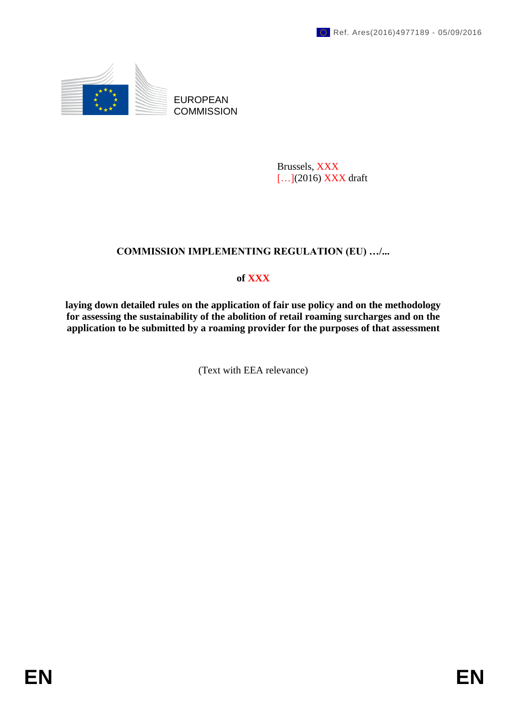

EUROPEAN **COMMISSION** 

> Brussels, XXX [...](2016) XXX draft

# **COMMISSION IMPLEMENTING REGULATION (EU) …/...**

# **of XXX**

**laying down detailed rules on the application of fair use policy and on the methodology for assessing the sustainability of the abolition of retail roaming surcharges and on the application to be submitted by a roaming provider for the purposes of that assessment** 

(Text with EEA relevance)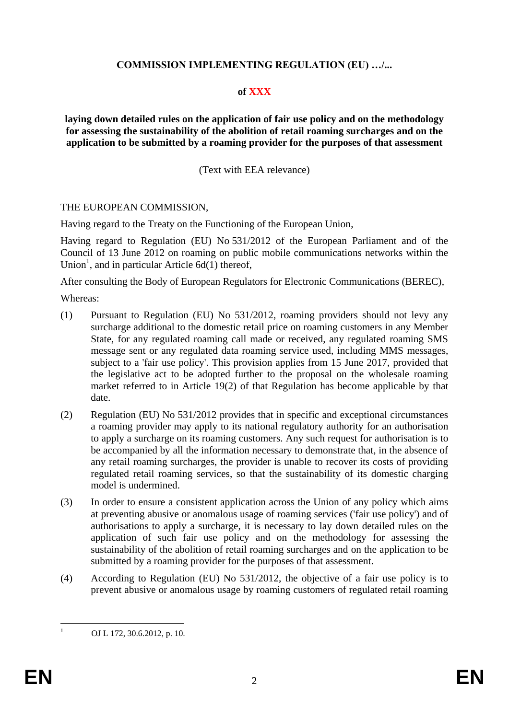#### **COMMISSION IMPLEMENTING REGULATION (EU) …/...**

#### **of XXX**

**laying down detailed rules on the application of fair use policy and on the methodology for assessing the sustainability of the abolition of retail roaming surcharges and on the application to be submitted by a roaming provider for the purposes of that assessment** 

(Text with EEA relevance)

#### THE EUROPEAN COMMISSION,

Having regard to the Treaty on the Functioning of the European Union,

Having regard to Regulation (EU) No 531/2012 of the European Parliament and of the Council of 13 June 2012 on roaming on public mobile communications networks within the Union<sup>1</sup>, and in particular Article  $6d(1)$  thereof,

After consulting the Body of European Regulators for Electronic Communications (BEREC),

Whereas:

- (1) Pursuant to Regulation (EU) No 531/2012, roaming providers should not levy any surcharge additional to the domestic retail price on roaming customers in any Member State, for any regulated roaming call made or received, any regulated roaming SMS message sent or any regulated data roaming service used, including MMS messages, subject to a 'fair use policy'. This provision applies from 15 June 2017, provided that the legislative act to be adopted further to the proposal on the wholesale roaming market referred to in Article 19(2) of that Regulation has become applicable by that date.
- (2) Regulation (EU) No 531/2012 provides that in specific and exceptional circumstances a roaming provider may apply to its national regulatory authority for an authorisation to apply a surcharge on its roaming customers. Any such request for authorisation is to be accompanied by all the information necessary to demonstrate that, in the absence of any retail roaming surcharges, the provider is unable to recover its costs of providing regulated retail roaming services, so that the sustainability of its domestic charging model is undermined.
- (3) In order to ensure a consistent application across the Union of any policy which aims at preventing abusive or anomalous usage of roaming services ('fair use policy') and of authorisations to apply a surcharge, it is necessary to lay down detailed rules on the application of such fair use policy and on the methodology for assessing the sustainability of the abolition of retail roaming surcharges and on the application to be submitted by a roaming provider for the purposes of that assessment.
- (4) According to Regulation (EU) No 531/2012, the objective of a fair use policy is to prevent abusive or anomalous usage by roaming customers of regulated retail roaming

<sup>1</sup> OJ L 172, 30.6.2012, p. 10.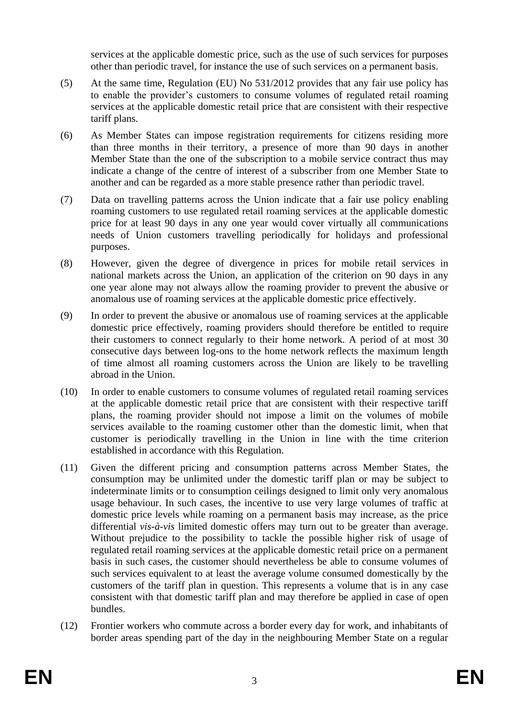services at the applicable domestic price, such as the use of such services for purposes other than periodic travel, for instance the use of such services on a permanent basis.

- (5) At the same time, Regulation (EU) No 531/2012 provides that any fair use policy has to enable the provider's customers to consume volumes of regulated retail roaming services at the applicable domestic retail price that are consistent with their respective tariff plans.
- (6) As Member States can impose registration requirements for citizens residing more than three months in their territory, a presence of more than 90 days in another Member State than the one of the subscription to a mobile service contract thus may indicate a change of the centre of interest of a subscriber from one Member State to another and can be regarded as a more stable presence rather than periodic travel.
- (7) Data on travelling patterns across the Union indicate that a fair use policy enabling roaming customers to use regulated retail roaming services at the applicable domestic price for at least 90 days in any one year would cover virtually all communications needs of Union customers travelling periodically for holidays and professional purposes.
- (8) However, given the degree of divergence in prices for mobile retail services in national markets across the Union, an application of the criterion on 90 days in any one year alone may not always allow the roaming provider to prevent the abusive or anomalous use of roaming services at the applicable domestic price effectively.
- (9) In order to prevent the abusive or anomalous use of roaming services at the applicable domestic price effectively, roaming providers should therefore be entitled to require their customers to connect regularly to their home network. A period of at most 30 consecutive days between log-ons to the home network reflects the maximum length of time almost all roaming customers across the Union are likely to be travelling abroad in the Union.
- (10) In order to enable customers to consume volumes of regulated retail roaming services at the applicable domestic retail price that are consistent with their respective tariff plans, the roaming provider should not impose a limit on the volumes of mobile services available to the roaming customer other than the domestic limit, when that customer is periodically travelling in the Union in line with the time criterion established in accordance with this Regulation.
- (11) Given the different pricing and consumption patterns across Member States, the consumption may be unlimited under the domestic tariff plan or may be subject to indeterminate limits or to consumption ceilings designed to limit only very anomalous usage behaviour. In such cases, the incentive to use very large volumes of traffic at domestic price levels while roaming on a permanent basis may increase, as the price differential *vis-à-vis* limited domestic offers may turn out to be greater than average. Without prejudice to the possibility to tackle the possible higher risk of usage of regulated retail roaming services at the applicable domestic retail price on a permanent basis in such cases, the customer should nevertheless be able to consume volumes of such services equivalent to at least the average volume consumed domestically by the customers of the tariff plan in question. This represents a volume that is in any case consistent with that domestic tariff plan and may therefore be applied in case of open bundles.
- (12) Frontier workers who commute across a border every day for work, and inhabitants of border areas spending part of the day in the neighbouring Member State on a regular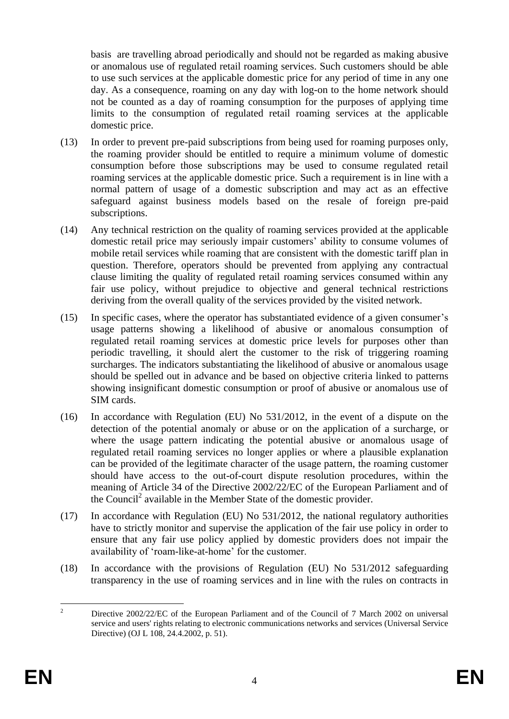basis are travelling abroad periodically and should not be regarded as making abusive or anomalous use of regulated retail roaming services. Such customers should be able to use such services at the applicable domestic price for any period of time in any one day. As a consequence, roaming on any day with log-on to the home network should not be counted as a day of roaming consumption for the purposes of applying time limits to the consumption of regulated retail roaming services at the applicable domestic price.

- (13) In order to prevent pre-paid subscriptions from being used for roaming purposes only, the roaming provider should be entitled to require a minimum volume of domestic consumption before those subscriptions may be used to consume regulated retail roaming services at the applicable domestic price. Such a requirement is in line with a normal pattern of usage of a domestic subscription and may act as an effective safeguard against business models based on the resale of foreign pre-paid subscriptions.
- (14) Any technical restriction on the quality of roaming services provided at the applicable domestic retail price may seriously impair customers' ability to consume volumes of mobile retail services while roaming that are consistent with the domestic tariff plan in question. Therefore, operators should be prevented from applying any contractual clause limiting the quality of regulated retail roaming services consumed within any fair use policy, without prejudice to objective and general technical restrictions deriving from the overall quality of the services provided by the visited network.
- (15) In specific cases, where the operator has substantiated evidence of a given consumer's usage patterns showing a likelihood of abusive or anomalous consumption of regulated retail roaming services at domestic price levels for purposes other than periodic travelling, it should alert the customer to the risk of triggering roaming surcharges. The indicators substantiating the likelihood of abusive or anomalous usage should be spelled out in advance and be based on objective criteria linked to patterns showing insignificant domestic consumption or proof of abusive or anomalous use of SIM cards.
- (16) In accordance with Regulation (EU) No 531/2012, in the event of a dispute on the detection of the potential anomaly or abuse or on the application of a surcharge, or where the usage pattern indicating the potential abusive or anomalous usage of regulated retail roaming services no longer applies or where a plausible explanation can be provided of the legitimate character of the usage pattern, the roaming customer should have access to the out-of-court dispute resolution procedures, within the meaning of Article 34 of the Directive 2002/22/EC of the European Parliament and of the Council<sup>2</sup> available in the Member State of the domestic provider.
- (17) In accordance with Regulation (EU) No 531/2012, the national regulatory authorities have to strictly monitor and supervise the application of the fair use policy in order to ensure that any fair use policy applied by domestic providers does not impair the availability of 'roam-like-at-home' for the customer.
- (18) In accordance with the provisions of Regulation (EU) No 531/2012 safeguarding transparency in the use of roaming services and in line with the rules on contracts in

 $\overline{2}$ <sup>2</sup> Directive 2002/22/EC of the European Parliament and of the Council of 7 March 2002 on universal service and users' rights relating to electronic communications networks and services (Universal Service Directive) (OJ L 108, 24.4.2002, p. 51).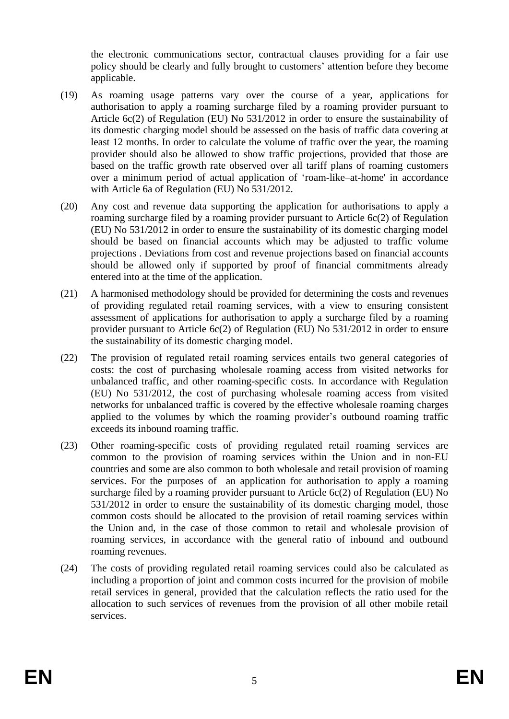the electronic communications sector, contractual clauses providing for a fair use policy should be clearly and fully brought to customers' attention before they become applicable.

- (19) As roaming usage patterns vary over the course of a year, applications for authorisation to apply a roaming surcharge filed by a roaming provider pursuant to Article 6c(2) of Regulation (EU) No 531/2012 in order to ensure the sustainability of its domestic charging model should be assessed on the basis of traffic data covering at least 12 months. In order to calculate the volume of traffic over the year, the roaming provider should also be allowed to show traffic projections, provided that those are based on the traffic growth rate observed over all tariff plans of roaming customers over a minimum period of actual application of 'roam-like–at-home' in accordance with Article 6a of Regulation (EU) No 531/2012.
- (20) Any cost and revenue data supporting the application for authorisations to apply a roaming surcharge filed by a roaming provider pursuant to Article 6c(2) of Regulation (EU) No 531/2012 in order to ensure the sustainability of its domestic charging model should be based on financial accounts which may be adjusted to traffic volume projections . Deviations from cost and revenue projections based on financial accounts should be allowed only if supported by proof of financial commitments already entered into at the time of the application.
- (21) A harmonised methodology should be provided for determining the costs and revenues of providing regulated retail roaming services, with a view to ensuring consistent assessment of applications for authorisation to apply a surcharge filed by a roaming provider pursuant to Article 6c(2) of Regulation (EU) No 531/2012 in order to ensure the sustainability of its domestic charging model.
- (22) The provision of regulated retail roaming services entails two general categories of costs: the cost of purchasing wholesale roaming access from visited networks for unbalanced traffic, and other roaming-specific costs. In accordance with Regulation (EU) No 531/2012, the cost of purchasing wholesale roaming access from visited networks for unbalanced traffic is covered by the effective wholesale roaming charges applied to the volumes by which the roaming provider's outbound roaming traffic exceeds its inbound roaming traffic.
- (23) Other roaming-specific costs of providing regulated retail roaming services are common to the provision of roaming services within the Union and in non-EU countries and some are also common to both wholesale and retail provision of roaming services. For the purposes of an application for authorisation to apply a roaming surcharge filed by a roaming provider pursuant to Article 6c(2) of Regulation (EU) No 531/2012 in order to ensure the sustainability of its domestic charging model, those common costs should be allocated to the provision of retail roaming services within the Union and, in the case of those common to retail and wholesale provision of roaming services, in accordance with the general ratio of inbound and outbound roaming revenues.
- (24) The costs of providing regulated retail roaming services could also be calculated as including a proportion of joint and common costs incurred for the provision of mobile retail services in general, provided that the calculation reflects the ratio used for the allocation to such services of revenues from the provision of all other mobile retail services.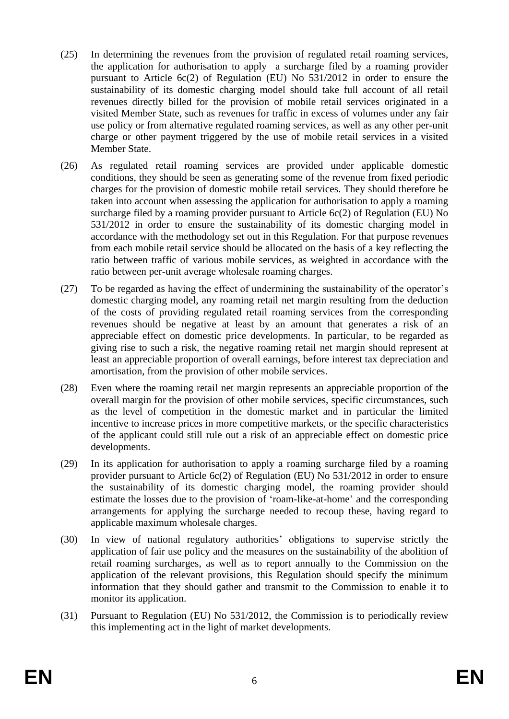- (25) In determining the revenues from the provision of regulated retail roaming services, the application for authorisation to apply a surcharge filed by a roaming provider pursuant to Article 6c(2) of Regulation (EU) No 531/2012 in order to ensure the sustainability of its domestic charging model should take full account of all retail revenues directly billed for the provision of mobile retail services originated in a visited Member State, such as revenues for traffic in excess of volumes under any fair use policy or from alternative regulated roaming services, as well as any other per-unit charge or other payment triggered by the use of mobile retail services in a visited Member State.
- (26) As regulated retail roaming services are provided under applicable domestic conditions, they should be seen as generating some of the revenue from fixed periodic charges for the provision of domestic mobile retail services. They should therefore be taken into account when assessing the application for authorisation to apply a roaming surcharge filed by a roaming provider pursuant to Article 6c(2) of Regulation (EU) No 531/2012 in order to ensure the sustainability of its domestic charging model in accordance with the methodology set out in this Regulation. For that purpose revenues from each mobile retail service should be allocated on the basis of a key reflecting the ratio between traffic of various mobile services, as weighted in accordance with the ratio between per-unit average wholesale roaming charges.
- (27) To be regarded as having the effect of undermining the sustainability of the operator's domestic charging model, any roaming retail net margin resulting from the deduction of the costs of providing regulated retail roaming services from the corresponding revenues should be negative at least by an amount that generates a risk of an appreciable effect on domestic price developments. In particular, to be regarded as giving rise to such a risk, the negative roaming retail net margin should represent at least an appreciable proportion of overall earnings, before interest tax depreciation and amortisation, from the provision of other mobile services.
- (28) Even where the roaming retail net margin represents an appreciable proportion of the overall margin for the provision of other mobile services, specific circumstances, such as the level of competition in the domestic market and in particular the limited incentive to increase prices in more competitive markets, or the specific characteristics of the applicant could still rule out a risk of an appreciable effect on domestic price developments.
- (29) In its application for authorisation to apply a roaming surcharge filed by a roaming provider pursuant to Article 6c(2) of Regulation (EU) No 531/2012 in order to ensure the sustainability of its domestic charging model, the roaming provider should estimate the losses due to the provision of 'roam-like-at-home' and the corresponding arrangements for applying the surcharge needed to recoup these, having regard to applicable maximum wholesale charges.
- (30) In view of national regulatory authorities' obligations to supervise strictly the application of fair use policy and the measures on the sustainability of the abolition of retail roaming surcharges, as well as to report annually to the Commission on the application of the relevant provisions, this Regulation should specify the minimum information that they should gather and transmit to the Commission to enable it to monitor its application.
- (31) Pursuant to Regulation (EU) No 531/2012, the Commission is to periodically review this implementing act in the light of market developments.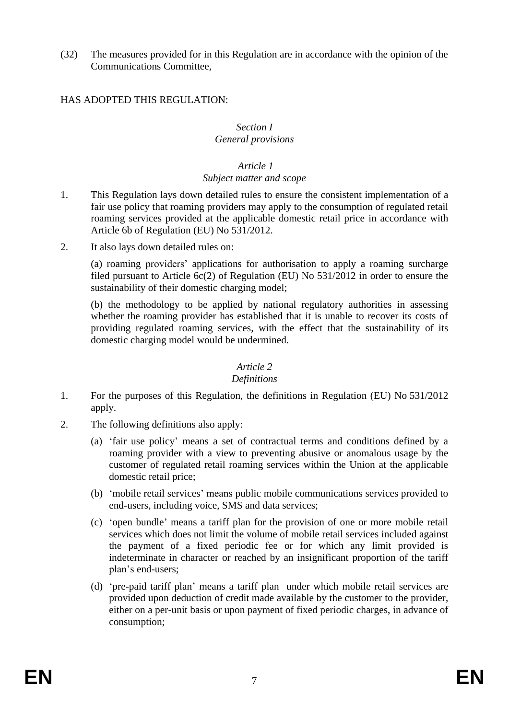(32) The measures provided for in this Regulation are in accordance with the opinion of the Communications Committee,

# HAS ADOPTED THIS REGULATION:

#### *Section I General provisions*

# *Article 1*

#### *Subject matter and scope*

- 1. This Regulation lays down detailed rules to ensure the consistent implementation of a fair use policy that roaming providers may apply to the consumption of regulated retail roaming services provided at the applicable domestic retail price in accordance with Article 6b of Regulation (EU) No 531/2012.
- 2. It also lays down detailed rules on:

(a) roaming providers' applications for authorisation to apply a roaming surcharge filed pursuant to Article 6c(2) of Regulation (EU) No 531/2012 in order to ensure the sustainability of their domestic charging model;

(b) the methodology to be applied by national regulatory authorities in assessing whether the roaming provider has established that it is unable to recover its costs of providing regulated roaming services, with the effect that the sustainability of its domestic charging model would be undermined.

#### *Article 2*

#### *Definitions*

- 1. For the purposes of this Regulation, the definitions in Regulation (EU) No 531/2012 apply.
- 2. The following definitions also apply:
	- (a) 'fair use policy' means a set of contractual terms and conditions defined by a roaming provider with a view to preventing abusive or anomalous usage by the customer of regulated retail roaming services within the Union at the applicable domestic retail price;
	- (b) 'mobile retail services' means public mobile communications services provided to end-users, including voice, SMS and data services;
	- (c) 'open bundle' means a tariff plan for the provision of one or more mobile retail services which does not limit the volume of mobile retail services included against the payment of a fixed periodic fee or for which any limit provided is indeterminate in character or reached by an insignificant proportion of the tariff plan's end-users;
	- (d) 'pre-paid tariff plan' means a tariff plan under which mobile retail services are provided upon deduction of credit made available by the customer to the provider, either on a per-unit basis or upon payment of fixed periodic charges, in advance of consumption;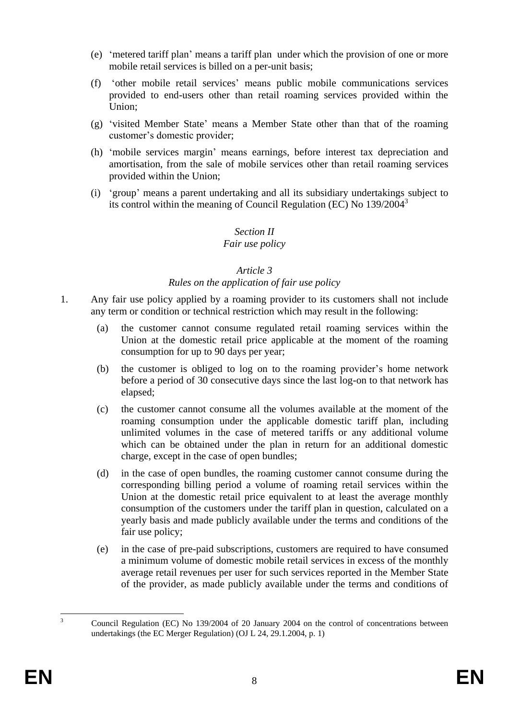- (e) 'metered tariff plan' means a tariff plan under which the provision of one or more mobile retail services is billed on a per-unit basis;
- (f) 'other mobile retail services' means public mobile communications services provided to end-users other than retail roaming services provided within the Union;
- (g) 'visited Member State' means a Member State other than that of the roaming customer's domestic provider;
- (h) 'mobile services margin' means earnings, before interest tax depreciation and amortisation, from the sale of mobile services other than retail roaming services provided within the Union;
- (i) 'group' means a parent undertaking and all its subsidiary undertakings subject to its control within the meaning of Council Regulation (EC) No  $139/2004^3$

# *Section II*

# *Fair use policy*

# *Article 3*

# *Rules on the application of fair use policy*

- 1. Any fair use policy applied by a roaming provider to its customers shall not include any term or condition or technical restriction which may result in the following:
	- (a) the customer cannot consume regulated retail roaming services within the Union at the domestic retail price applicable at the moment of the roaming consumption for up to 90 days per year;
	- (b) the customer is obliged to log on to the roaming provider's home network before a period of 30 consecutive days since the last log-on to that network has elapsed;
	- (c) the customer cannot consume all the volumes available at the moment of the roaming consumption under the applicable domestic tariff plan, including unlimited volumes in the case of metered tariffs or any additional volume which can be obtained under the plan in return for an additional domestic charge, except in the case of open bundles;
	- (d) in the case of open bundles, the roaming customer cannot consume during the corresponding billing period a volume of roaming retail services within the Union at the domestic retail price equivalent to at least the average monthly consumption of the customers under the tariff plan in question, calculated on a yearly basis and made publicly available under the terms and conditions of the fair use policy;
	- (e) in the case of pre-paid subscriptions, customers are required to have consumed a minimum volume of domestic mobile retail services in excess of the monthly average retail revenues per user for such services reported in the Member State of the provider, as made publicly available under the terms and conditions of

 $\overline{\mathbf{3}}$ <sup>3</sup> Council Regulation (EC) No 139/2004 of 20 January 2004 on the control of concentrations between undertakings (the EC Merger Regulation) (OJ L 24, 29.1.2004, p. 1)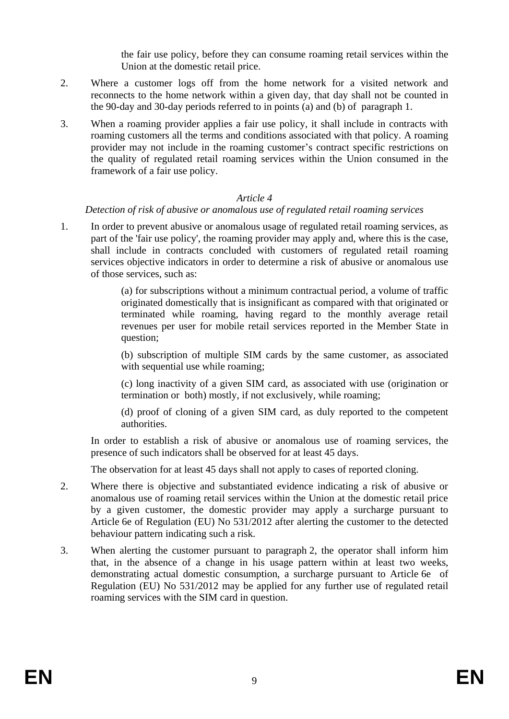the fair use policy, before they can consume roaming retail services within the Union at the domestic retail price.

- 2. Where a customer logs off from the home network for a visited network and reconnects to the home network within a given day, that day shall not be counted in the 90-day and 30-day periods referred to in points (a) and (b) of paragraph 1.
- 3. When a roaming provider applies a fair use policy, it shall include in contracts with roaming customers all the terms and conditions associated with that policy. A roaming provider may not include in the roaming customer's contract specific restrictions on the quality of regulated retail roaming services within the Union consumed in the framework of a fair use policy.

#### *Article 4*

#### *Detection of risk of abusive or anomalous use of regulated retail roaming services*

1. In order to prevent abusive or anomalous usage of regulated retail roaming services, as part of the 'fair use policy', the roaming provider may apply and, where this is the case, shall include in contracts concluded with customers of regulated retail roaming services objective indicators in order to determine a risk of abusive or anomalous use of those services, such as:

> (a) for subscriptions without a minimum contractual period, a volume of traffic originated domestically that is insignificant as compared with that originated or terminated while roaming, having regard to the monthly average retail revenues per user for mobile retail services reported in the Member State in question;

> (b) subscription of multiple SIM cards by the same customer, as associated with sequential use while roaming;

> (c) long inactivity of a given SIM card, as associated with use (origination or termination or both) mostly, if not exclusively, while roaming;

> (d) proof of cloning of a given SIM card, as duly reported to the competent authorities.

In order to establish a risk of abusive or anomalous use of roaming services, the presence of such indicators shall be observed for at least 45 days.

The observation for at least 45 days shall not apply to cases of reported cloning.

- 2. Where there is objective and substantiated evidence indicating a risk of abusive or anomalous use of roaming retail services within the Union at the domestic retail price by a given customer, the domestic provider may apply a surcharge pursuant to Article 6e of Regulation (EU) No 531/2012 after alerting the customer to the detected behaviour pattern indicating such a risk.
- 3. When alerting the customer pursuant to paragraph 2, the operator shall inform him that, in the absence of a change in his usage pattern within at least two weeks, demonstrating actual domestic consumption, a surcharge pursuant to Article 6e of Regulation (EU) No 531/2012 may be applied for any further use of regulated retail roaming services with the SIM card in question.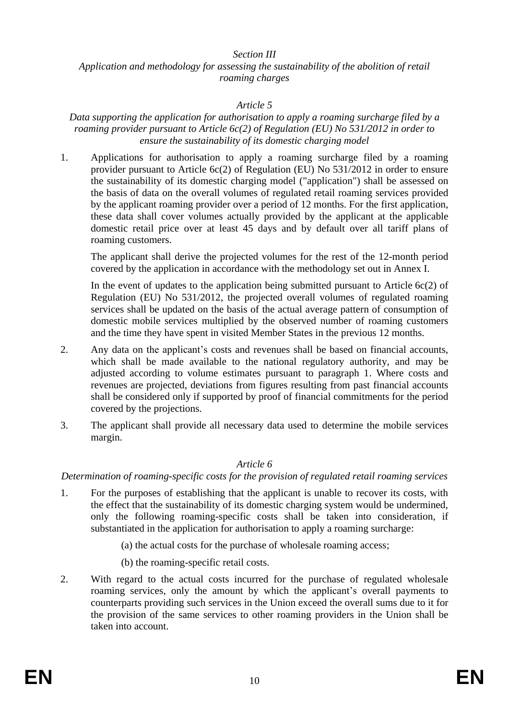#### *Section III*

#### *Application and methodology for assessing the sustainability of the abolition of retail roaming charges*

#### *Article 5*

#### *Data supporting the application for authorisation to apply a roaming surcharge filed by a roaming provider pursuant to Article 6c(2) of Regulation (EU) No 531/2012 in order to ensure the sustainability of its domestic charging model*

1. Applications for authorisation to apply a roaming surcharge filed by a roaming provider pursuant to Article 6c(2) of Regulation (EU) No 531/2012 in order to ensure the sustainability of its domestic charging model ("application") shall be assessed on the basis of data on the overall volumes of regulated retail roaming services provided by the applicant roaming provider over a period of 12 months. For the first application, these data shall cover volumes actually provided by the applicant at the applicable domestic retail price over at least 45 days and by default over all tariff plans of roaming customers.

The applicant shall derive the projected volumes for the rest of the 12-month period covered by the application in accordance with the methodology set out in Annex I.

In the event of updates to the application being submitted pursuant to Article  $6c(2)$  of Regulation (EU) No 531/2012, the projected overall volumes of regulated roaming services shall be updated on the basis of the actual average pattern of consumption of domestic mobile services multiplied by the observed number of roaming customers and the time they have spent in visited Member States in the previous 12 months.

- 2. Any data on the applicant's costs and revenues shall be based on financial accounts, which shall be made available to the national regulatory authority, and may be adjusted according to volume estimates pursuant to paragraph 1. Where costs and revenues are projected, deviations from figures resulting from past financial accounts shall be considered only if supported by proof of financial commitments for the period covered by the projections.
- 3. The applicant shall provide all necessary data used to determine the mobile services margin.

#### *Article 6*

# *Determination of roaming-specific costs for the provision of regulated retail roaming services*

- 1. For the purposes of establishing that the applicant is unable to recover its costs, with the effect that the sustainability of its domestic charging system would be undermined, only the following roaming-specific costs shall be taken into consideration, if substantiated in the application for authorisation to apply a roaming surcharge:
	- (a) the actual costs for the purchase of wholesale roaming access;
	- (b) the roaming-specific retail costs.
- 2. With regard to the actual costs incurred for the purchase of regulated wholesale roaming services, only the amount by which the applicant's overall payments to counterparts providing such services in the Union exceed the overall sums due to it for the provision of the same services to other roaming providers in the Union shall be taken into account.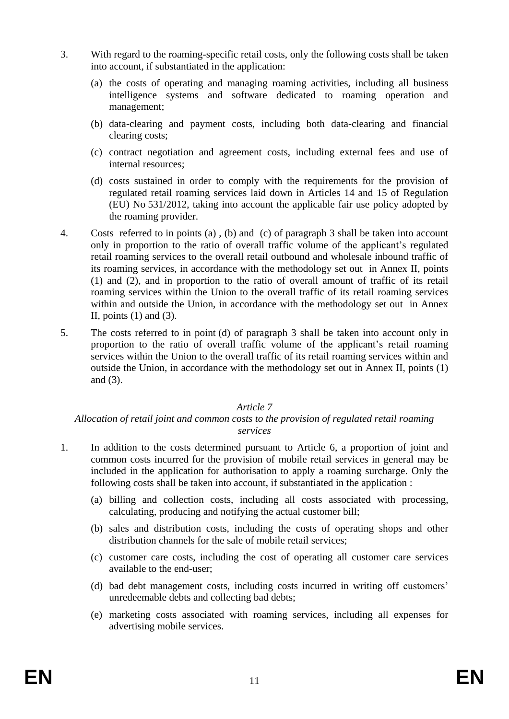- 3. With regard to the roaming-specific retail costs, only the following costs shall be taken into account, if substantiated in the application:
	- (a) the costs of operating and managing roaming activities, including all business intelligence systems and software dedicated to roaming operation and management;
	- (b) data-clearing and payment costs, including both data-clearing and financial clearing costs;
	- (c) contract negotiation and agreement costs, including external fees and use of internal resources;
	- (d) costs sustained in order to comply with the requirements for the provision of regulated retail roaming services laid down in Articles 14 and 15 of Regulation (EU) No 531/2012, taking into account the applicable fair use policy adopted by the roaming provider.
- 4. Costs referred to in points (a) , (b) and (c) of paragraph 3 shall be taken into account only in proportion to the ratio of overall traffic volume of the applicant's regulated retail roaming services to the overall retail outbound and wholesale inbound traffic of its roaming services, in accordance with the methodology set out in Annex II, points (1) and (2), and in proportion to the ratio of overall amount of traffic of its retail roaming services within the Union to the overall traffic of its retail roaming services within and outside the Union, in accordance with the methodology set out in Annex II, points  $(1)$  and  $(3)$ .
- 5. The costs referred to in point (d) of paragraph 3 shall be taken into account only in proportion to the ratio of overall traffic volume of the applicant's retail roaming services within the Union to the overall traffic of its retail roaming services within and outside the Union, in accordance with the methodology set out in Annex II, points (1) and (3).

#### *Article 7*

#### *Allocation of retail joint and common costs to the provision of regulated retail roaming services*

- 1. In addition to the costs determined pursuant to Article 6, a proportion of joint and common costs incurred for the provision of mobile retail services in general may be included in the application for authorisation to apply a roaming surcharge. Only the following costs shall be taken into account, if substantiated in the application :
	- (a) billing and collection costs, including all costs associated with processing, calculating, producing and notifying the actual customer bill;
	- (b) sales and distribution costs, including the costs of operating shops and other distribution channels for the sale of mobile retail services;
	- (c) customer care costs, including the cost of operating all customer care services available to the end-user;
	- (d) bad debt management costs, including costs incurred in writing off customers' unredeemable debts and collecting bad debts;
	- (e) marketing costs associated with roaming services, including all expenses for advertising mobile services.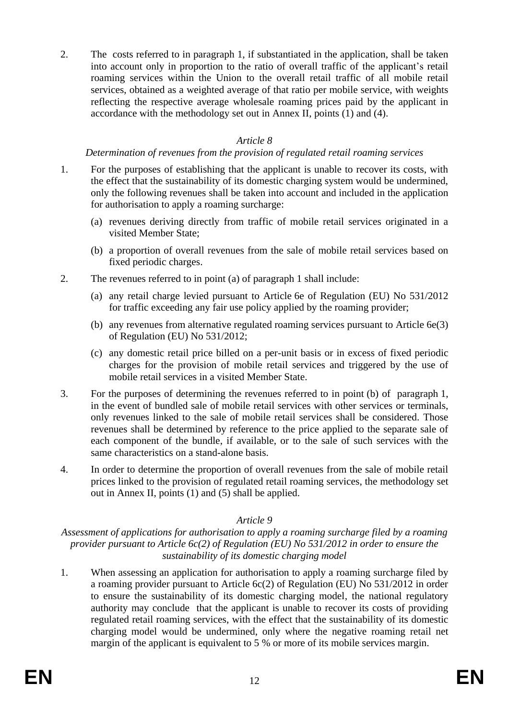2. The costs referred to in paragraph 1, if substantiated in the application, shall be taken into account only in proportion to the ratio of overall traffic of the applicant's retail roaming services within the Union to the overall retail traffic of all mobile retail services, obtained as a weighted average of that ratio per mobile service, with weights reflecting the respective average wholesale roaming prices paid by the applicant in accordance with the methodology set out in Annex II, points (1) and (4).

# *Article 8*

# *Determination of revenues from the provision of regulated retail roaming services*

- 1. For the purposes of establishing that the applicant is unable to recover its costs, with the effect that the sustainability of its domestic charging system would be undermined, only the following revenues shall be taken into account and included in the application for authorisation to apply a roaming surcharge:
	- (a) revenues deriving directly from traffic of mobile retail services originated in a visited Member State;
	- (b) a proportion of overall revenues from the sale of mobile retail services based on fixed periodic charges.
- 2. The revenues referred to in point (a) of paragraph 1 shall include:
	- (a) any retail charge levied pursuant to Article 6e of Regulation (EU) No 531/2012 for traffic exceeding any fair use policy applied by the roaming provider;
	- (b) any revenues from alternative regulated roaming services pursuant to Article 6e(3) of Regulation (EU) No 531/2012;
	- (c) any domestic retail price billed on a per-unit basis or in excess of fixed periodic charges for the provision of mobile retail services and triggered by the use of mobile retail services in a visited Member State.
- 3. For the purposes of determining the revenues referred to in point (b) of paragraph 1, in the event of bundled sale of mobile retail services with other services or terminals, only revenues linked to the sale of mobile retail services shall be considered. Those revenues shall be determined by reference to the price applied to the separate sale of each component of the bundle, if available, or to the sale of such services with the same characteristics on a stand-alone basis.
- 4. In order to determine the proportion of overall revenues from the sale of mobile retail prices linked to the provision of regulated retail roaming services, the methodology set out in Annex II, points (1) and (5) shall be applied.

#### *Article 9*

*Assessment of applications for authorisation to apply a roaming surcharge filed by a roaming provider pursuant to Article 6c(2) of Regulation (EU) No 531/2012 in order to ensure the sustainability of its domestic charging model*

1. When assessing an application for authorisation to apply a roaming surcharge filed by a roaming provider pursuant to Article 6c(2) of Regulation (EU) No 531/2012 in order to ensure the sustainability of its domestic charging model, the national regulatory authority may conclude that the applicant is unable to recover its costs of providing regulated retail roaming services, with the effect that the sustainability of its domestic charging model would be undermined, only where the negative roaming retail net margin of the applicant is equivalent to 5 % or more of its mobile services margin.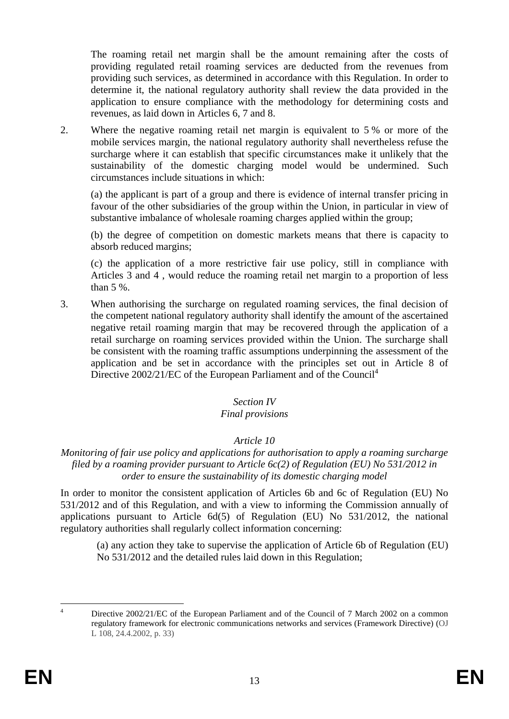The roaming retail net margin shall be the amount remaining after the costs of providing regulated retail roaming services are deducted from the revenues from providing such services, as determined in accordance with this Regulation. In order to determine it, the national regulatory authority shall review the data provided in the application to ensure compliance with the methodology for determining costs and revenues, as laid down in Articles 6, 7 and 8.

2. Where the negative roaming retail net margin is equivalent to 5 % or more of the mobile services margin, the national regulatory authority shall nevertheless refuse the surcharge where it can establish that specific circumstances make it unlikely that the sustainability of the domestic charging model would be undermined. Such circumstances include situations in which:

(a) the applicant is part of a group and there is evidence of internal transfer pricing in favour of the other subsidiaries of the group within the Union, in particular in view of substantive imbalance of wholesale roaming charges applied within the group;

(b) the degree of competition on domestic markets means that there is capacity to absorb reduced margins;

(c) the application of a more restrictive fair use policy, still in compliance with Articles 3 and 4 , would reduce the roaming retail net margin to a proportion of less than 5 %.

3. When authorising the surcharge on regulated roaming services, the final decision of the competent national regulatory authority shall identify the amount of the ascertained negative retail roaming margin that may be recovered through the application of a retail surcharge on roaming services provided within the Union. The surcharge shall be consistent with the roaming traffic assumptions underpinning the assessment of the application and be set in accordance with the principles set out in Article 8 of Directive 2002/21/EC of the European Parliament and of the Council<sup>4</sup>

# *Section IV*

#### *Final provisions*

#### *Article 10*

#### *Monitoring of fair use policy and applications for authorisation to apply a roaming surcharge filed by a roaming provider pursuant to Article 6c(2) of Regulation (EU) No 531/2012 in order to ensure the sustainability of its domestic charging model*

In order to monitor the consistent application of Articles 6b and 6c of Regulation (EU) No 531/2012 and of this Regulation, and with a view to informing the Commission annually of applications pursuant to Article 6d(5) of Regulation (EU) No 531/2012, the national regulatory authorities shall regularly collect information concerning:

(a) any action they take to supervise the application of Article 6b of Regulation (EU) No 531/2012 and the detailed rules laid down in this Regulation;

 $\overline{A}$ Directive 2002/21/EC of the European Parliament and of the Council of 7 March 2002 on a common regulatory framework for electronic communications networks and services (Framework Directive) (OJ L 108, 24.4.2002, p. 33)